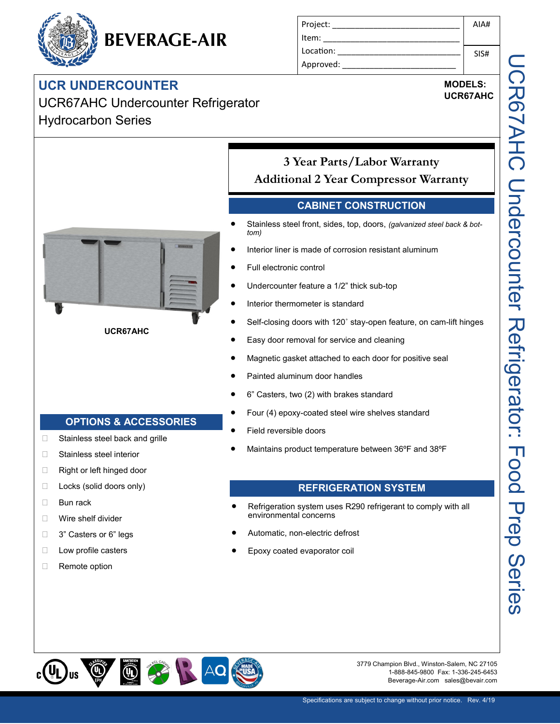# **BEVERAGE-AIR**

### **UCR UNDERCOUNTER**

UCR67AHC Undercounter Refrigerator Hydrocarbon Series

| Project:  | AIA# |
|-----------|------|
| Item:     |      |
| Location: | SIS# |
| Approved: |      |

## **MODELS:**

**UCR67AHC**



**UCR67AHC**

**OPTIONS & ACCESSORIES**

□ Stainless steel back and grille

□ Stainless steel interior □ Right or left hinged door □ Locks (solid doors only)

□ Bun rack

□ Wire shelf divider □ 3" Casters or 6" legs  $\Box$  Low profile casters

□ Remote option

#### **3 Year Parts/Labor Warranty Additional 2 Year Compressor Warranty**

#### **CABINET CONSTRUCTION**

- Stainless steel front, sides, top, doors, *(galvanized steel back & bottom)*
- Interior liner is made of corrosion resistant aluminum
- Full electronic control
- Undercounter feature a 1/2" thick sub-top
- Interior thermometer is standard
- Self-closing doors with 120˚ stay-open feature, on cam-lift hinges
- Easy door removal for service and cleaning
- Magnetic gasket attached to each door for positive seal
- Painted aluminum door handles
- 6" Casters, two (2) with brakes standard
- Four (4) epoxy-coated steel wire shelves standard
- Field reversible doors
- Maintains product temperature between 36ºF and 38ºF

#### **REFRIGERATION SYSTEM**

- Refrigeration system uses R290 refrigerant to comply with all environmental concerns
- Automatic, non-electric defrost
- Epoxy coated evaporator coil



3779 Champion Blvd., Winston-Salem, NC 27105 1-888-845-9800 Fax: 1-336-245-6453 Beverage-Air.com sales@bevair.com